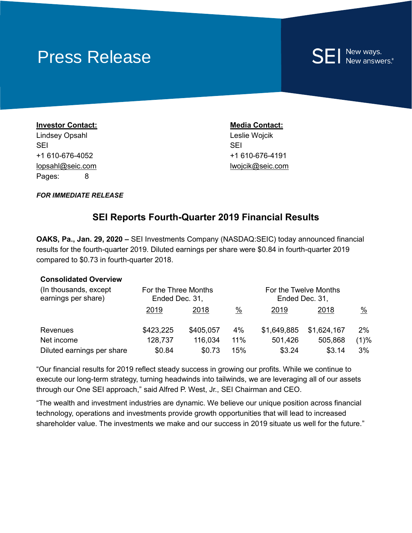# Press Release

# **SEI** New ways.

**Investor Contact: Media Contact: Media Contact:** Lindsey Opsahl **Leslie Wojcik** Leslie Wojcik SEI SEI +1 610-676-4052 +1 610-676-4191 lopsahl@seic.com lwojcik@seic.com Pages: 8

*FOR IMMEDIATE RELEASE*

## **SEI Reports Fourth-Quarter 2019 Financial Results**

**OAKS, Pa., Jan. 29, 2020 –** SEI Investments Company (NASDAQ:SEIC) today announced financial results for the fourth-quarter 2019. Diluted earnings per share were \$0.84 in fourth-quarter 2019 compared to \$0.73 in fourth-quarter 2018.

#### **Consolidated Overview**

| (In thousands, except)<br>earnings per share) | For the Three Months<br>Ended Dec. 31, |           | For the Twelve Months<br>Ended Dec. 31, |             |             |       |
|-----------------------------------------------|----------------------------------------|-----------|-----------------------------------------|-------------|-------------|-------|
|                                               | 2019                                   | 2018      | $\%$                                    | 2019        | 2018        | %     |
| Revenues                                      | \$423,225                              | \$405,057 | 4%                                      | \$1,649,885 | \$1,624,167 | $2\%$ |
| Net income                                    | 128,737                                | 116,034   | 11%                                     | 501,426     | 505,868     | (1)%  |
| Diluted earnings per share                    | \$0.84                                 | \$0.73    | 15%                                     | \$3.24      | \$3.14      | 3%    |

"Our financial results for 2019 reflect steady success in growing our profits. While we continue to execute our long-term strategy, turning headwinds into tailwinds, we are leveraging all of our assets through our One SEI approach," said Alfred P. West, Jr., SEI Chairman and CEO.

"The wealth and investment industries are dynamic. We believe our unique position across financial technology, operations and investments provide growth opportunities that will lead to increased shareholder value. The investments we make and our success in 2019 situate us well for the future."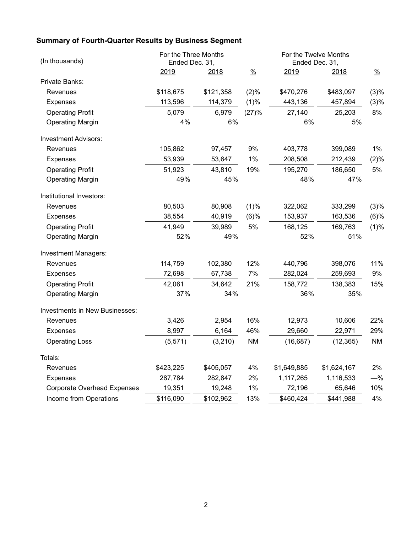## **Summary of Fourth-Quarter Results by Business Segment**

| (In thousands)                     | For the Three Months<br>Ended Dec. 31, |           |               | For the Twelve Months<br>Ended Dec. 31, |             |               |
|------------------------------------|----------------------------------------|-----------|---------------|-----------------------------------------|-------------|---------------|
|                                    | 2019                                   | 2018      | $\frac{9}{6}$ | 2019                                    | 2018        | $\frac{0}{2}$ |
| Private Banks:                     |                                        |           |               |                                         |             |               |
| Revenues                           | \$118,675                              | \$121,358 | (2)%          | \$470,276                               | \$483,097   | (3)%          |
| <b>Expenses</b>                    | 113,596                                | 114,379   | (1)%          | 443,136                                 | 457,894     | (3)%          |
| <b>Operating Profit</b>            | 5,079                                  | 6,979     | (27)%         | 27,140                                  | 25,203      | 8%            |
| <b>Operating Margin</b>            | 4%                                     | 6%        |               | 6%<br>5%                                |             |               |
| <b>Investment Advisors:</b>        |                                        |           |               |                                         |             |               |
| Revenues                           | 105,862                                | 97,457    | 9%            | 403,778                                 | 399,089     | $1\%$         |
| Expenses                           | 53,939                                 | 53,647    | 1%            | 208,508                                 | 212,439     | (2)%          |
| <b>Operating Profit</b>            | 51,923                                 | 43,810    | 19%           | 195,270                                 | 186,650     | 5%            |
| <b>Operating Margin</b>            | 49%                                    | 45%       |               | 48%<br>47%                              |             |               |
| Institutional Investors:           |                                        |           |               |                                         |             |               |
| Revenues                           | 80,503                                 | 80,908    | (1)%          | 322,062                                 | 333,299     | (3)%          |
| <b>Expenses</b>                    | 38,554                                 | 40,919    | (6)%          | 153,937                                 | 163,536     | (6)%          |
| <b>Operating Profit</b>            | 41,949                                 | 39,989    | 5%            | 168,125                                 | 169,763     | (1)%          |
| <b>Operating Margin</b>            | 52%                                    | 49%       |               | 52%                                     | 51%         |               |
| <b>Investment Managers:</b>        |                                        |           |               |                                         |             |               |
| Revenues                           | 114,759                                | 102,380   | 12%           | 440,796                                 | 398,076     | 11%           |
| <b>Expenses</b>                    | 72,698                                 | 67,738    | 7%            | 282,024                                 | 259,693     | 9%            |
| <b>Operating Profit</b>            | 42,061                                 | 34,642    | 21%           | 158,772                                 | 138,383     | 15%           |
| <b>Operating Margin</b>            | 37%                                    | 34%       |               | 36%                                     | 35%         |               |
| Investments in New Businesses:     |                                        |           |               |                                         |             |               |
| Revenues                           | 3,426                                  | 2,954     | 16%           | 12,973                                  | 10,606      | 22%           |
| <b>Expenses</b>                    | 8,997                                  | 6,164     | 46%           | 29,660                                  | 22,971      | 29%           |
| <b>Operating Loss</b>              | (5, 571)                               | (3,210)   | <b>NM</b>     | (16, 687)                               | (12, 365)   | <b>NM</b>     |
| Totals:                            |                                        |           |               |                                         |             |               |
| Revenues                           | \$423,225                              | \$405,057 | 4%            | \$1,649,885                             | \$1,624,167 | 2%            |
| <b>Expenses</b>                    | 287,784                                | 282,847   | 2%            | 1,117,265                               | 1,116,533   | $-\%$         |
| <b>Corporate Overhead Expenses</b> | 19,351                                 | 19,248    | 1%            | 72,196                                  | 65,646      | 10%           |
| Income from Operations             | \$116,090                              | \$102,962 | 13%           | \$460,424                               | \$441,988   | 4%            |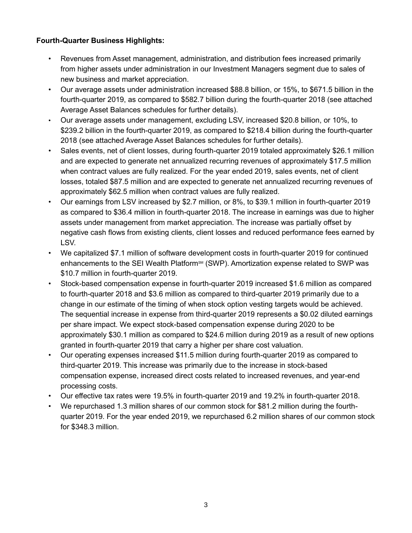### **Fourth-Quarter Business Highlights:**

- Revenues from Asset management, administration, and distribution fees increased primarily from higher assets under administration in our Investment Managers segment due to sales of new business and market appreciation.
- Our average assets under administration increased \$88.8 billion, or 15%, to \$671.5 billion in the fourth-quarter 2019, as compared to \$582.7 billion during the fourth-quarter 2018 (see attached Average Asset Balances schedules for further details).
- Our average assets under management, excluding LSV, increased \$20.8 billion, or 10%, to \$239.2 billion in the fourth-quarter 2019, as compared to \$218.4 billion during the fourth-quarter 2018 (see attached Average Asset Balances schedules for further details).
- Sales events, net of client losses, during fourth-quarter 2019 totaled approximately \$26.1 million and are expected to generate net annualized recurring revenues of approximately \$17.5 million when contract values are fully realized. For the year ended 2019, sales events, net of client losses, totaled \$87.5 million and are expected to generate net annualized recurring revenues of approximately \$62.5 million when contract values are fully realized.
- Our earnings from LSV increased by \$2.7 million, or 8%, to \$39.1 million in fourth-quarter 2019 as compared to \$36.4 million in fourth-quarter 2018. The increase in earnings was due to higher assets under management from market appreciation. The increase was partially offset by negative cash flows from existing clients, client losses and reduced performance fees earned by LSV.
- We capitalized \$7.1 million of software development costs in fourth-quarter 2019 for continued enhancements to the SEI Wealth Platform<sup>sM</sup> (SWP). Amortization expense related to SWP was \$10.7 million in fourth-quarter 2019.
- Stock-based compensation expense in fourth-quarter 2019 increased \$1.6 million as compared to fourth-quarter 2018 and \$3.6 million as compared to third-quarter 2019 primarily due to a change in our estimate of the timing of when stock option vesting targets would be achieved. The sequential increase in expense from third-quarter 2019 represents a \$0.02 diluted earnings per share impact. We expect stock-based compensation expense during 2020 to be approximately \$30.1 million as compared to \$24.6 million during 2019 as a result of new options granted in fourth-quarter 2019 that carry a higher per share cost valuation.
- Our operating expenses increased \$11.5 million during fourth-quarter 2019 as compared to third-quarter 2019. This increase was primarily due to the increase in stock-based compensation expense, increased direct costs related to increased revenues, and year-end processing costs.
- Our effective tax rates were 19.5% in fourth-quarter 2019 and 19.2% in fourth-quarter 2018.
- We repurchased 1.3 million shares of our common stock for \$81.2 million during the fourthquarter 2019. For the year ended 2019, we repurchased 6.2 million shares of our common stock for \$348.3 million.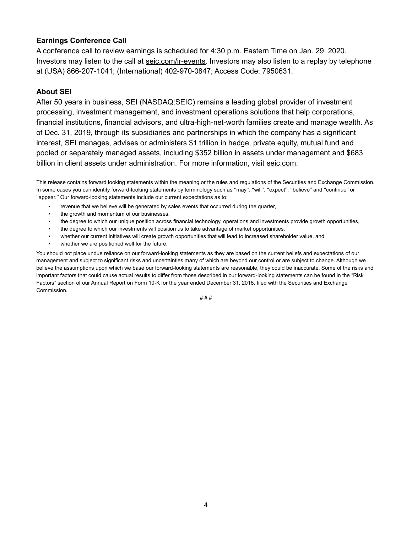#### **Earnings Conference Call**

A conference call to review earnings is scheduled for 4:30 p.m. Eastern Time on Jan. 29, 2020. Investors may listen to the call at [seic.com/ir-events.](https://seic.com/investor-relations/investor-relations-events-and-webcasts) Investors may also listen to a replay by telephone at (USA) 866-207-1041; (International) 402-970-0847; Access Code: 7950631.

#### **About SEI**

After 50 years in business, SEI (NASDAQ:SEIC) remains a leading global provider of investment processing, investment management, and investment operations solutions that help corporations, financial institutions, financial advisors, and ultra-high-net-worth families create and manage wealth. As of Dec. 31, 2019, through its subsidiaries and partnerships in which the company has a significant interest, SEI manages, advises or administers \$1 trillion in hedge, private equity, mutual fund and pooled or separately managed assets, including \$352 billion in assets under management and \$683 billion in client assets under administration. For more information, visit [seic.com.](http://seic.com/)

This release contains forward looking statements within the meaning or the rules and regulations of the Securities and Exchange Commission. In some cases you can identify forward-looking statements by terminology such as "may", "will", "expect", "believe" and "continue" or "appear." Our forward-looking statements include our current expectations as to:

- revenue that we believe will be generated by sales events that occurred during the quarter,
- the growth and momentum of our businesses,
- the degree to which our unique position across financial technology, operations and investments provide growth opportunities,
- the degree to which our investments will position us to take advantage of market opportunities,
- whether our current initiatives will create growth opportunities that will lead to increased shareholder value, and
- whether we are positioned well for the future.

You should not place undue reliance on our forward-looking statements as they are based on the current beliefs and expectations of our management and subject to significant risks and uncertainties many of which are beyond our control or are subject to change. Although we believe the assumptions upon which we base our forward-looking statements are reasonable, they could be inaccurate. Some of the risks and important factors that could cause actual results to differ from those described in our forward-looking statements can be found in the "Risk Factors" section of our Annual Report on Form 10-K for the year ended December 31, 2018, filed with the Securities and Exchange **Commission**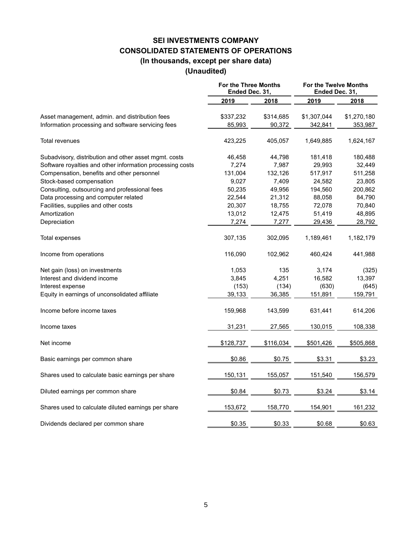### **SEI INVESTMENTS COMPANY CONSOLIDATED STATEMENTS OF OPERATIONS (In thousands, except per share data) (Unaudited)**

|                                                                                                      | For the Three Months<br>Ended Dec. 31, |                     | For the Twelve Months<br>Ended Dec. 31, |                        |
|------------------------------------------------------------------------------------------------------|----------------------------------------|---------------------|-----------------------------------------|------------------------|
|                                                                                                      | 2019                                   | 2018                | 2019                                    | 2018                   |
| Asset management, admin. and distribution fees<br>Information processing and software servicing fees | \$337,232<br>85,993                    | \$314,685<br>90,372 | \$1,307,044<br>342,841                  | \$1,270,180<br>353,987 |
|                                                                                                      |                                        |                     |                                         |                        |
| Total revenues                                                                                       | 423,225                                | 405,057             | 1,649,885                               | 1,624,167              |
| Subadvisory, distribution and other asset mgmt. costs                                                | 46,458                                 | 44,798              | 181,418                                 | 180,488                |
| Software royalties and other information processing costs                                            | 7,274                                  | 7,987               | 29,993                                  | 32,449                 |
| Compensation, benefits and other personnel                                                           | 131,004                                | 132,126             | 517,917                                 | 511,258                |
| Stock-based compensation                                                                             | 9,027                                  | 7,409               | 24,582                                  | 23,805                 |
| Consulting, outsourcing and professional fees                                                        | 50,235                                 | 49,956              | 194,560                                 | 200,862                |
| Data processing and computer related                                                                 | 22,544                                 | 21,312              | 88,058                                  | 84,790                 |
| Facilities, supplies and other costs                                                                 | 20,307                                 | 18,755              | 72,078                                  | 70,840                 |
| Amortization                                                                                         | 13,012                                 | 12,475              | 51,419                                  | 48,895                 |
| Depreciation                                                                                         | 7,274                                  | 7,277               | 29,436                                  | 28,792                 |
| Total expenses                                                                                       | 307,135                                | 302,095             | 1,189,461                               | 1,182,179              |
| Income from operations                                                                               | 116,090                                | 102,962             | 460,424                                 | 441,988                |
| Net gain (loss) on investments                                                                       | 1,053                                  | 135                 | 3,174                                   | (325)                  |
| Interest and dividend income                                                                         | 3,845                                  | 4,251               | 16,582                                  | 13,397                 |
| Interest expense                                                                                     | (153)                                  | (134)               | (630)                                   | (645)                  |
| Equity in earnings of unconsolidated affiliate                                                       | 39,133                                 | 36,385              | 151,891                                 | 159,791                |
| Income before income taxes                                                                           | 159,968                                | 143,599             | 631,441                                 | 614,206                |
| Income taxes                                                                                         | 31,231                                 | 27,565              | 130,015                                 | 108,338                |
| Net income                                                                                           | \$128,737                              | \$116,034           | \$501,426                               | \$505,868              |
| Basic earnings per common share                                                                      | \$0.86                                 | \$0.75              | \$3.31                                  | \$3.23                 |
| Shares used to calculate basic earnings per share                                                    | 150,131                                | 155,057             | 151,540                                 | 156,579                |
| Diluted earnings per common share                                                                    | \$0.84                                 | \$0.73              | \$3.24                                  | \$3.14                 |
| Shares used to calculate diluted earnings per share                                                  | 153,672                                | 158,770             | 154,901                                 | 161,232                |
| Dividends declared per common share                                                                  | \$0.35                                 | \$0.33              | \$0.68                                  | \$0.63                 |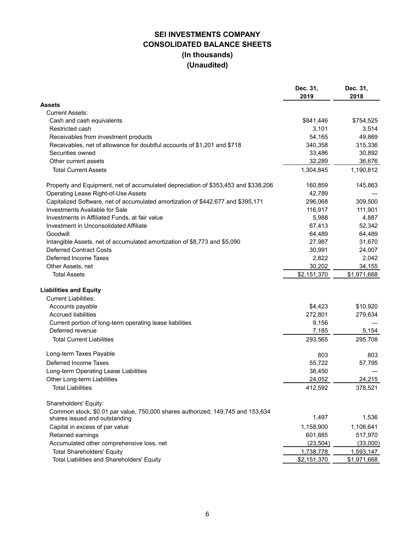## **SEI INVESTMENTS COMPANY CONSOLIDATED BALANCE SHEETS (In thousands) (Unaudited)**

|                                                                                                                 | Dec. 31,    | Dec. 31,    |
|-----------------------------------------------------------------------------------------------------------------|-------------|-------------|
|                                                                                                                 | 2019        | 2018        |
| Assets                                                                                                          |             |             |
| <b>Current Assets:</b>                                                                                          |             |             |
| Cash and cash equivalents                                                                                       | \$841,446   | \$754,525   |
| Restricted cash                                                                                                 | 3,101       | 3,514       |
| Receivables from investment products                                                                            | 54,165      | 49,869      |
| Receivables, net of allowance for doubtful accounts of \$1,201 and \$718                                        | 340,358     | 315,336     |
| Securities owned                                                                                                | 33,486      | 30,892      |
| Other current assets                                                                                            | 32,289      | 36,676      |
| <b>Total Current Assets</b>                                                                                     | 1,304,845   | 1,190,812   |
| Property and Equipment, net of accumulated depreciation of \$353,453 and \$338,206                              | 160,859     | 145,863     |
| Operating Lease Right-of-Use Assets                                                                             | 42,789      |             |
| Capitalized Software, net of accumulated amortization of \$442,677 and \$395,171                                | 296,068     | 309,500     |
| Investments Available for Sale                                                                                  | 116,917     | 111,901     |
| Investments in Affiliated Funds, at fair value                                                                  | 5,988       | 4,887       |
| Investment in Unconsolidated Affiliate                                                                          | 67,413      | 52,342      |
| Goodwill                                                                                                        | 64,489      | 64,489      |
| Intangible Assets, net of accumulated amortization of \$8,773 and \$5,090                                       | 27,987      | 31,670      |
| <b>Deferred Contract Costs</b>                                                                                  | 30,991      | 24,007      |
| Deferred Income Taxes                                                                                           | 2,822       | 2,042       |
| Other Assets, net                                                                                               | 30,202      | 34,155      |
| <b>Total Assets</b>                                                                                             | \$2,151,370 | \$1,971,668 |
| <b>Liabilities and Equity</b>                                                                                   |             |             |
| <b>Current Liabilities:</b>                                                                                     |             |             |
| Accounts payable                                                                                                | \$4,423     | \$10,920    |
| <b>Accrued liabilities</b>                                                                                      | 272,801     | 279,634     |
| Current portion of long-term operating lease liabilities                                                        | 9,156       |             |
| Deferred revenue                                                                                                | 7,185       | 5,154       |
| <b>Total Current Liabilities</b>                                                                                | 293,565     | 295,708     |
| Long-term Taxes Payable                                                                                         | 803         | 803         |
| Deferred Income Taxes                                                                                           | 55,722      | 57,795      |
| Long-term Operating Lease Liabilities                                                                           | 38,450      |             |
| Other Long-term Liabilities                                                                                     | 24,052      | 24,215      |
| <b>Total Liabilities</b>                                                                                        | 412,592     | 378,521     |
| Shareholders' Equity:                                                                                           |             |             |
| Common stock, \$0.01 par value, 750,000 shares authorized; 149,745 and 153,634<br>shares issued and outstanding | 1,497       | 1,536       |
| Capital in excess of par value                                                                                  | 1,158,900   | 1,106,641   |
| Retained earnings                                                                                               | 601,885     | 517,970     |
| Accumulated other comprehensive loss, net                                                                       | (23, 504)   | (33,000)    |
| <b>Total Shareholders' Equity</b>                                                                               | 1,738,778   | 1,593,147   |
| Total Liabilities and Shareholders' Equity                                                                      | \$2,151,370 | \$1,971,668 |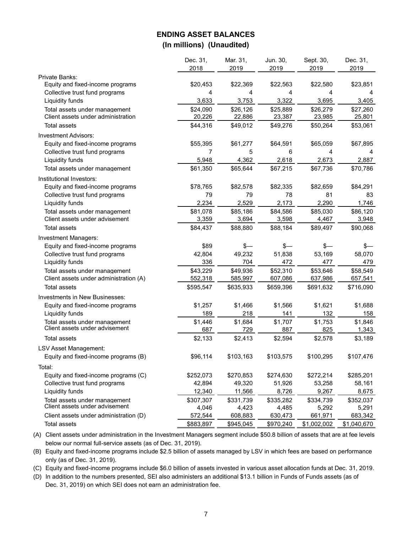#### **ENDING ASSET BALANCES (In millions) (Unaudited)**

|                                        | Dec. 31,  | Mar. 31,  | Jun. 30,  | Sept. 30,   | Dec. 31,    |
|----------------------------------------|-----------|-----------|-----------|-------------|-------------|
|                                        | 2018      | 2019      | 2019      | 2019        | 2019        |
| Private Banks:                         |           |           |           |             |             |
| Equity and fixed-income programs       | \$20,453  | \$22,369  | \$22,563  | \$22,580    | \$23,851    |
| Collective trust fund programs         | 4         | 4         | 4         | 4           | 4           |
| Liquidity funds                        | 3,633     | 3,753     | 3,322     | 3,695       | 3,405       |
| Total assets under management          | \$24,090  | \$26,126  | \$25,889  | \$26,279    | \$27,260    |
| Client assets under administration     | 20,226    | 22,886    | 23,387    | 23,985      | 25,801      |
| Total assets                           | \$44,316  | \$49,012  | \$49,276  | \$50,264    | \$53,061    |
| Investment Advisors:                   |           |           |           |             |             |
| Equity and fixed-income programs       | \$55,395  | \$61,277  | \$64,591  | \$65,059    | \$67,895    |
| Collective trust fund programs         | 7         | 5         | 6         | 4           |             |
| Liquidity funds                        | 5,948     | 4,362     | 2,618     | 2,673       | 2,887       |
| Total assets under management          | \$61,350  | \$65,644  | \$67,215  | \$67,736    | \$70,786    |
| Institutional Investors:               |           |           |           |             |             |
| Equity and fixed-income programs       | \$78,765  | \$82,578  | \$82,335  | \$82,659    | \$84,291    |
| Collective trust fund programs         | 79        | 79        | 78        | 81          | 83          |
| Liquidity funds                        | 2,234     | 2,529     | 2,173     | 2,290       | 1,746       |
| Total assets under management          | \$81,078  | \$85,186  | \$84,586  | \$85,030    | \$86,120    |
| Client assets under advisement         | 3,359     | 3,694     | 3,598     | 4,467       | 3,948       |
| <b>Total assets</b>                    | \$84,437  | \$88,880  | \$88,184  | \$89,497    | \$90,068    |
| Investment Managers:                   |           |           |           |             |             |
| Equity and fixed-income programs       | \$89      | \$—       | \$—       | \$—         | \$—         |
| Collective trust fund programs         | 42,804    | 49,232    | 51,838    | 53,169      | 58,070      |
| Liquidity funds                        | 336       | 704       | 472       | 477         | 479         |
| Total assets under management          | \$43,229  | \$49,936  | \$52,310  | \$53,646    | \$58,549    |
| Client assets under administration (A) | 552,318   | 585,997   | 607,086   | 637,986     | 657,541     |
| <b>Total assets</b>                    | \$595,547 | \$635,933 | \$659,396 | \$691,632   | \$716,090   |
| Investments in New Businesses:         |           |           |           |             |             |
| Equity and fixed-income programs       | \$1,257   | \$1,466   | \$1,566   | \$1,621     | \$1,688     |
| Liquidity funds                        | 189       | 218       | 141       | 132         | 158         |
| Total assets under management          | \$1,446   | \$1,684   | \$1,707   | \$1,753     | \$1,846     |
| Client assets under advisement         | 687       | 729       | 887       | 825         | 1,343       |
| <b>Total assets</b>                    | \$2,133   | \$2,413   | \$2,594   | \$2,578     | \$3,189     |
| <b>LSV Asset Management:</b>           |           |           |           |             |             |
| Equity and fixed-income programs (B)   | \$96,114  | \$103,163 | \$103,575 | \$100,295   | \$107,476   |
| Total:                                 |           |           |           |             |             |
| Equity and fixed-income programs (C)   | \$252,073 | \$270,853 | \$274,630 | \$272,214   | \$285,201   |
| Collective trust fund programs         | 42,894    | 49,320    | 51,926    | 53,258      | 58,161      |
| Liquidity funds                        | 12,340    | 11,566    | 8,726     | 9,267       | 8,675       |
| Total assets under management          | \$307,307 | \$331,739 | \$335,282 | \$334,739   | \$352,037   |
| Client assets under advisement         | 4,046     | 4,423     | 4,485     | 5,292       | 5,291       |
| Client assets under administration (D) | 572,544   | 608,883   | 630,473   | 661,971     | 683,342     |
| Total assets                           | \$883,897 | \$945,045 | \$970,240 | \$1,002,002 | \$1,040,670 |

(A) Client assets under administration in the Investment Managers segment include \$50.8 billion of assets that are at fee levels below our normal full-service assets (as of Dec. 31, 2019).

(B) Equity and fixed-income programs include \$2.5 billion of assets managed by LSV in which fees are based on performance only (as of Dec. 31, 2019).

(C) Equity and fixed-income programs include \$6.0 billion of assets invested in various asset allocation funds at Dec. 31, 2019.

(D) In addition to the numbers presented, SEI also administers an additional \$13.1 billion in Funds of Funds assets (as of Dec. 31, 2019) on which SEI does not earn an administration fee.